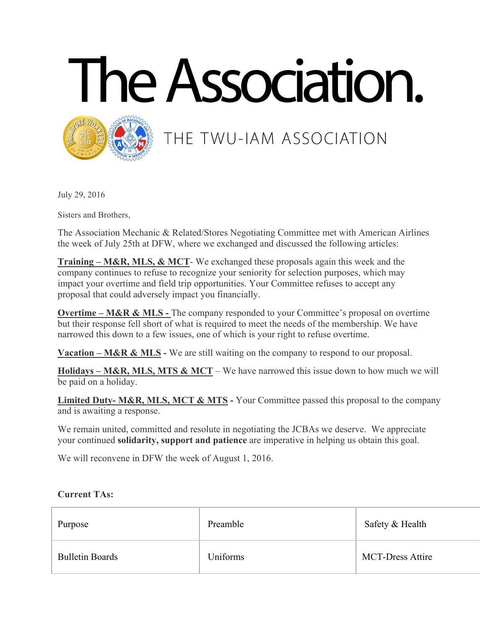



## THE TWU-IAM ASSOCIATION

July 29, 2016

Sisters and Brothers,

The Association Mechanic & Related/Stores Negotiating Committee met with American Airlines the week of July 25th at DFW, where we exchanged and discussed the following articles:

**Training – M&R, MLS, & MCT**- We exchanged these proposals again this week and the company continues to refuse to recognize your seniority for selection purposes, which may impact your overtime and field trip opportunities. Your Committee refuses to accept any proposal that could adversely impact you financially.

**Overtime – M&R & MLS -** The company responded to your Committee's proposal on overtime but their response fell short of what is required to meet the needs of the membership. We have narrowed this down to a few issues, one of which is your right to refuse overtime.

**Vacation – M&R & MLS -** We are still waiting on the company to respond to our proposal.

**Holidays – M&R, MLS, MTS & MCT** – We have narrowed this issue down to how much we will be paid on a holiday.

**Limited Duty- M&R, MLS, MCT & MTS -** Your Committee passed this proposal to the company and is awaiting a response.

We remain united, committed and resolute in negotiating the JCBAs we deserve. We appreciate your continued **solidarity, support and patience** are imperative in helping us obtain this goal.

We will reconvene in DFW the week of August 1, 2016.

## **Current TAs:**

| Purpose                | Preamble | Safety & Health         |
|------------------------|----------|-------------------------|
| <b>Bulletin Boards</b> | Uniforms | <b>MCT-Dress Attire</b> |